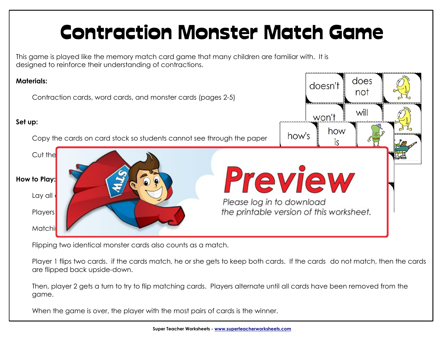## Contraction Monster Match Game

 This game is played like the memory match card game that many children are familiar with. It is designed to reinforce their understanding of contractions.



Flipping two identical monster cards also counts as a match.

Player 1 flips two cards. if the cards match, he or she gets to keep both cards. If the cards do not match, then the cards are flipped back upside-down.

Then, player 2 gets a turn to try to flip matching cards. Players alternate until all cards have been removed from the game.

When the game is over, the player with the most pairs of cards is the winner.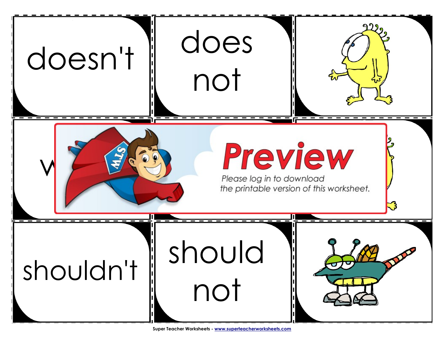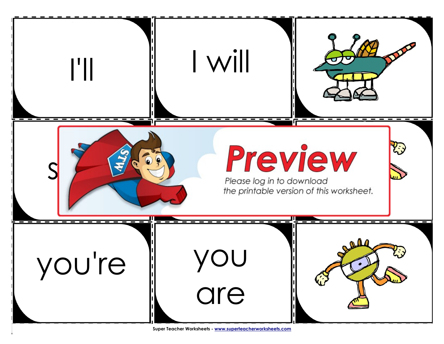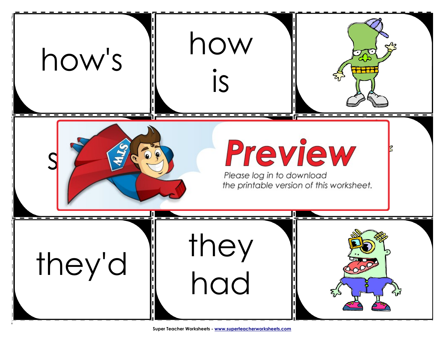